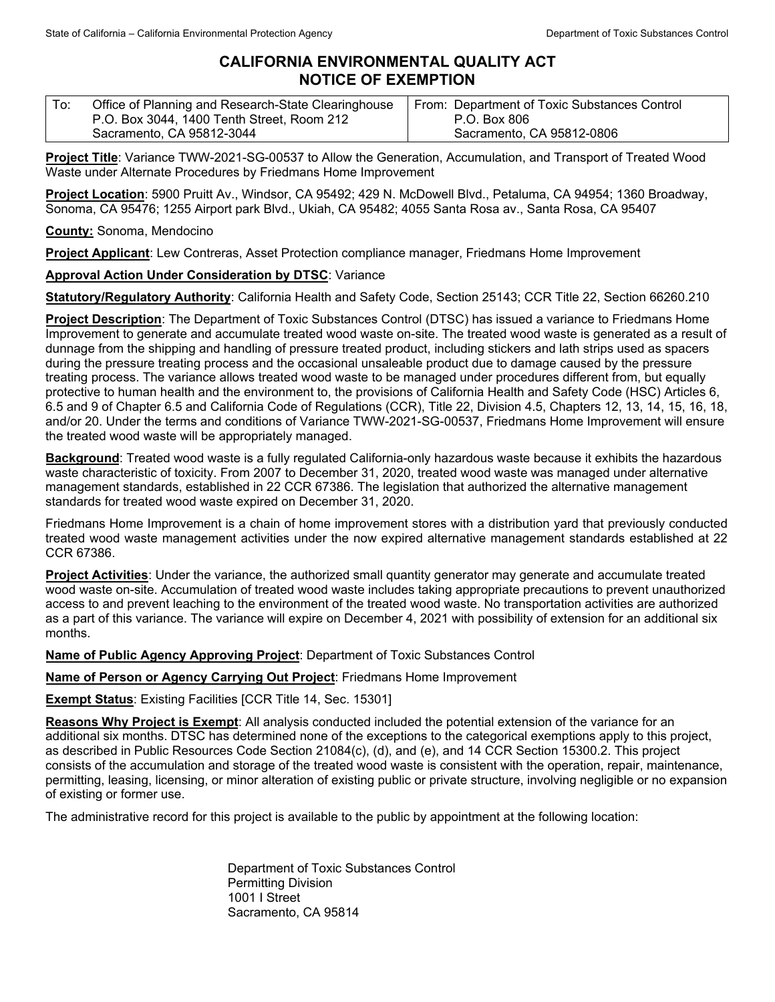## **CALIFORNIA ENVIRONMENTAL QUALITY ACT NOTICE OF EXEMPTION**

| ' To: | Office of Planning and Research-State Clearinghouse | From: Department of Toxic Substances Control |
|-------|-----------------------------------------------------|----------------------------------------------|
|       | P.O. Box 3044, 1400 Tenth Street, Room 212          | P.O. Box 806                                 |
|       | Sacramento, CA 95812-3044                           | Sacramento, CA 95812-0806                    |

**Project Title**: Variance TWW-2021-SG-00537 to Allow the Generation, Accumulation, and Transport of Treated Wood Waste under Alternate Procedures by Friedmans Home Improvement

**Project Location**: 5900 Pruitt Av., Windsor, CA 95492; 429 N. McDowell Blvd., Petaluma, CA 94954; 1360 Broadway, Sonoma, CA 95476; 1255 Airport park Blvd., Ukiah, CA 95482; 4055 Santa Rosa av., Santa Rosa, CA 95407

**County:** Sonoma, Mendocino

**Project Applicant**: Lew Contreras, Asset Protection compliance manager, Friedmans Home Improvement

**Approval Action Under Consideration by DTSC**: Variance

**Statutory/Regulatory Authority**: California Health and Safety Code, Section 25143; CCR Title 22, Section 66260.210

**Project Description**: The Department of Toxic Substances Control (DTSC) has issued a variance to Friedmans Home Improvement to generate and accumulate treated wood waste on-site. The treated wood waste is generated as a result of dunnage from the shipping and handling of pressure treated product, including stickers and lath strips used as spacers during the pressure treating process and the occasional unsaleable product due to damage caused by the pressure treating process. The variance allows treated wood waste to be managed under procedures different from, but equally protective to human health and the environment to, the provisions of California Health and Safety Code (HSC) Articles 6, 6.5 and 9 of Chapter 6.5 and California Code of Regulations (CCR), Title 22, Division 4.5, Chapters 12, 13, 14, 15, 16, 18, and/or 20. Under the terms and conditions of Variance TWW-2021-SG-00537, Friedmans Home Improvement will ensure the treated wood waste will be appropriately managed.

**Background**: Treated wood waste is a fully regulated California-only hazardous waste because it exhibits the hazardous waste characteristic of toxicity. From 2007 to December 31, 2020, treated wood waste was managed under alternative management standards, established in 22 CCR 67386. The legislation that authorized the alternative management standards for treated wood waste expired on December 31, 2020.

Friedmans Home Improvement is a chain of home improvement stores with a distribution yard that previously conducted treated wood waste management activities under the now expired alternative management standards established at 22 CCR 67386.

**Project Activities**: Under the variance, the authorized small quantity generator may generate and accumulate treated wood waste on-site. Accumulation of treated wood waste includes taking appropriate precautions to prevent unauthorized access to and prevent leaching to the environment of the treated wood waste. No transportation activities are authorized as a part of this variance. The variance will expire on December 4, 2021 with possibility of extension for an additional six months.

**Name of Public Agency Approving Project**: Department of Toxic Substances Control

**Name of Person or Agency Carrying Out Project**: Friedmans Home Improvement

**Exempt Status**: Existing Facilities [CCR Title 14, Sec. 15301]

**Reasons Why Project is Exempt**: All analysis conducted included the potential extension of the variance for an additional six months. DTSC has determined none of the exceptions to the categorical exemptions apply to this project, as described in Public Resources Code Section 21084(c), (d), and (e), and 14 CCR Section 15300.2. This project consists of the accumulation and storage of the treated wood waste is consistent with the operation, repair, maintenance, permitting, leasing, licensing, or minor alteration of existing public or private structure, involving negligible or no expansion of existing or former use.

The administrative record for this project is available to the public by appointment at the following location:

Department of Toxic Substances Control Permitting Division 1001 I Street Sacramento, CA 95814